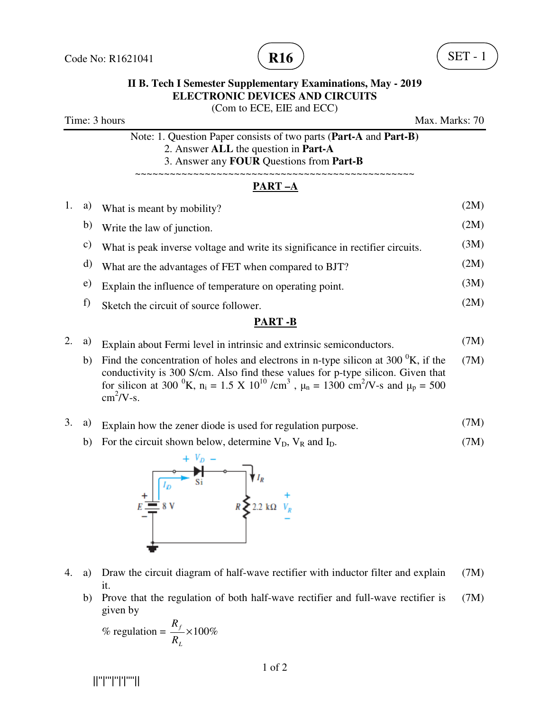

## **II B. Tech I Semester Supplementary Examinations, May - 2019 ELECTRONIC DEVICES AND CIRCUITS**  (Com to ECE, EIE and ECC) Time: 3 hours Max. Marks: 70 Note: 1. Question Paper consists of two parts (**Part-A** and **Part-B)** 2. Answer **ALL** the question in **Part-A** 3. Answer any **FOUR** Questions from **Part-B** ~~~~~~~~~~~~~~~~~~~~~~~~~~~~~~~~~~~~~~~~~~~~~~~~ **PART –A**  1. a) What is meant by mobility? (2M) b) Write the law of junction. (2M) c) What is peak inverse voltage and write its significance in rectifier circuits. (3M) d) What are the advantages of FET when compared to BJT? (2M)  $e)$  Explain the influence of temperature on operating point. (3M) f) Sketch the circuit of source follower.  $(2M)$ **PART -B**

## 2. a) Explain about Fermi level in intrinsic and extrinsic semiconductors.  $(7M)$ b) Find the concentration of holes and electrons in n-type silicon at 300  $\mathrm{K}$ , if the (7M)

conductivity is 300 S/cm. Also find these values for p-type silicon. Given that for silicon at 300  $^{0}$ K, n<sub>i</sub> = 1.5 X 10<sup>10</sup> /cm<sup>3</sup>,  $\mu$ <sub>n</sub> = 1300 cm<sup>2</sup>/V-s and  $\mu$ <sub>p</sub> = 500  $\text{cm}^2/\text{V-s}.$ 

## 3. a) Explain how the zener diode is used for regulation purpose. (7M)

b) For the circuit shown below, determine  $V_D$ ,  $V_R$  and  $I_D$ . (7M)



- 4. a) Draw the circuit diagram of half-wave rectifier with inductor filter and explain it. (7M)
	- b) Prove that the regulation of both half-wave rectifier and full-wave rectifier is given by (7M)

% regulation = 
$$
\frac{R_f}{R_L}
$$
 × 100%

||''|'''|''|'|''''||